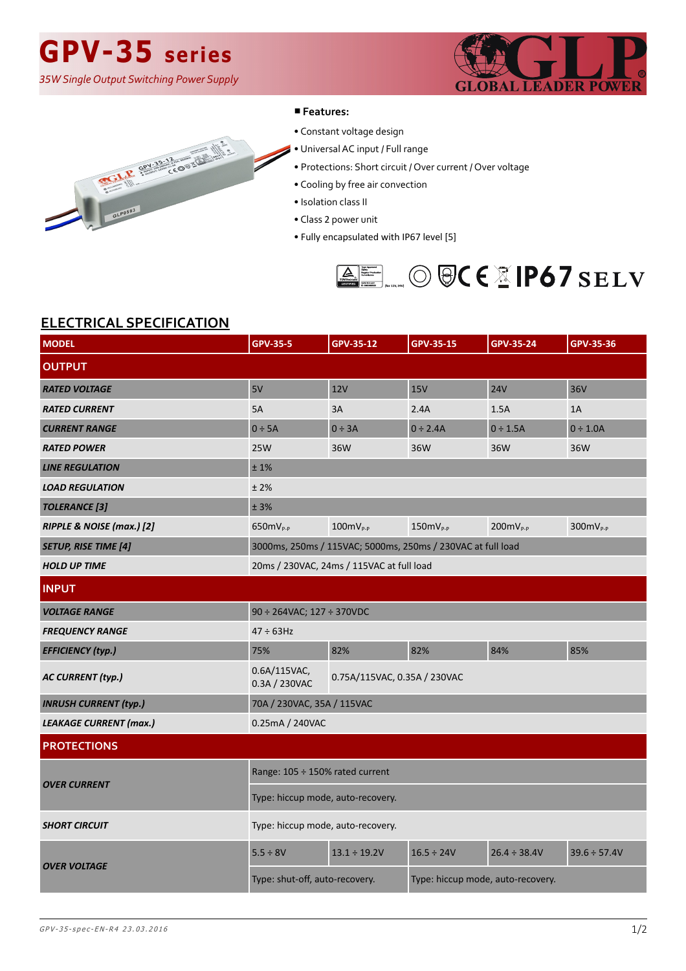## **GPV-35 series**

*35W Single Output Switching Power Supply*





#### ■**Features:**

- Constant voltage design
- Universal AC input / Full range
	- Protections: Short circuit / Over current / Over voltage
- Cooling by free air convection
- Isolation class II
- Class 2 power unit
- Fully encapsulated with IP67 level [5]



### **ELECTRICAL SPECIFICATION**

| <b>MODEL</b>                  | <b>GPV-35-5</b>                                               | GPV-35-12                         | <b>GPV-35-15</b> | <b>GPV-35-24</b>  | GPV-35-36         |
|-------------------------------|---------------------------------------------------------------|-----------------------------------|------------------|-------------------|-------------------|
| <b>OUTPUT</b>                 |                                                               |                                   |                  |                   |                   |
| <b>RATED VOLTAGE</b>          | 5V                                                            | 12V                               | <b>15V</b>       | <b>24V</b>        | 36V               |
| <b>RATED CURRENT</b>          | 5A                                                            | 3A                                | 2.4A             | 1.5A              | 1A                |
| <b>CURRENT RANGE</b>          | $0 \div 5A$                                                   | $0 \div 3A$                       | $0 \div 2.4A$    | $0 \div 1.5A$     | $0 \div 1.0A$     |
| <b>RATED POWER</b>            | <b>25W</b>                                                    | 36W                               | 36W              | 36W               | 36W               |
| <b>LINE REGULATION</b>        | ±1%                                                           |                                   |                  |                   |                   |
| <b>LOAD REGULATION</b>        | ±2%                                                           |                                   |                  |                   |                   |
| <b>TOLERANCE</b> [3]          | ± 3%                                                          |                                   |                  |                   |                   |
| RIPPLE & NOISE (max.) [2]     | $650mVP-P$                                                    | $100mV_{p.p}$                     | $150mV_{P-P}$    | $200mV_{p.p}$     | $300mVP-P$        |
| <b>SETUP, RISE TIME [4]</b>   | 3000ms, 250ms / 115VAC; 5000ms, 250ms / 230VAC at full load   |                                   |                  |                   |                   |
| <b>HOLD UP TIME</b>           | 20ms / 230VAC, 24ms / 115VAC at full load                     |                                   |                  |                   |                   |
| <b>INPUT</b>                  |                                                               |                                   |                  |                   |                   |
| <b>VOLTAGE RANGE</b>          | 90 ÷ 264VAC; 127 ÷ 370VDC                                     |                                   |                  |                   |                   |
| <b>FREQUENCY RANGE</b>        | $47 \div 63$ Hz                                               |                                   |                  |                   |                   |
| <b>EFFICIENCY (typ.)</b>      | 75%                                                           | 82%                               | 82%              | 84%               | 85%               |
| <b>AC CURRENT (typ.)</b>      | 0.6A/115VAC,<br>0.75A/115VAC, 0.35A / 230VAC<br>0.3A / 230VAC |                                   |                  |                   |                   |
| <b>INRUSH CURRENT (typ.)</b>  | 70A / 230VAC, 35A / 115VAC                                    |                                   |                  |                   |                   |
| <b>LEAKAGE CURRENT (max.)</b> | 0.25mA / 240VAC                                               |                                   |                  |                   |                   |
| <b>PROTECTIONS</b>            |                                                               |                                   |                  |                   |                   |
| <b>OVER CURRENT</b>           | Range: 105 ÷ 150% rated current                               |                                   |                  |                   |                   |
|                               | Type: hiccup mode, auto-recovery.                             |                                   |                  |                   |                   |
| <b>SHORT CIRCUIT</b>          | Type: hiccup mode, auto-recovery.                             |                                   |                  |                   |                   |
| <b>OVER VOLTAGE</b>           | $5.5 \div 8V$                                                 | $13.1 \div 19.2V$                 | $16.5 \div 24V$  | $26.4 \div 38.4V$ | $39.6 \div 57.4V$ |
|                               | Type: shut-off, auto-recovery.                                | Type: hiccup mode, auto-recovery. |                  |                   |                   |